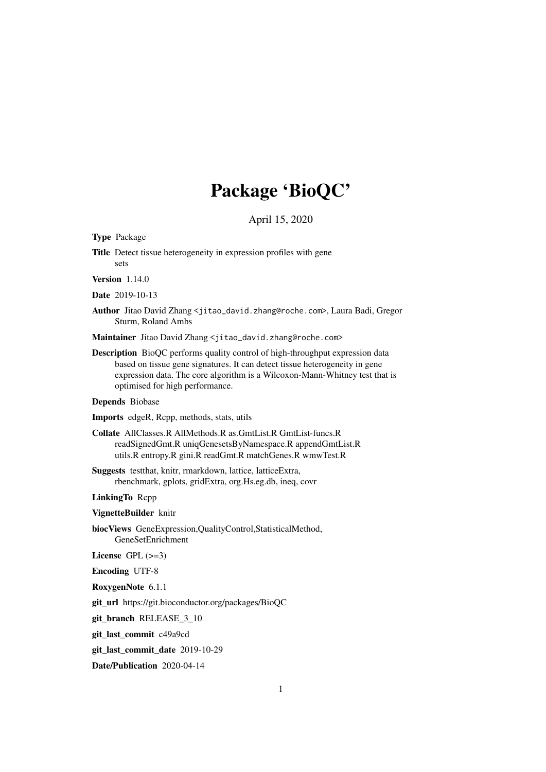# Package 'BioQC'

April 15, 2020

Type Package

Title Detect tissue heterogeneity in expression profiles with gene sets

Version 1.14.0

Date 2019-10-13

Author Jitao David Zhang <jitao\_david.zhang@roche.com>, Laura Badi, Gregor Sturm, Roland Ambs

Maintainer Jitao David Zhang <jitao\_david.zhang@roche.com>

Description BioQC performs quality control of high-throughput expression data based on tissue gene signatures. It can detect tissue heterogeneity in gene expression data. The core algorithm is a Wilcoxon-Mann-Whitney test that is optimised for high performance.

# Depends Biobase

Imports edgeR, Rcpp, methods, stats, utils

- Collate AllClasses.R AllMethods.R as.GmtList.R GmtList-funcs.R readSignedGmt.R uniqGenesetsByNamespace.R appendGmtList.R utils.R entropy.R gini.R readGmt.R matchGenes.R wmwTest.R
- Suggests testthat, knitr, rmarkdown, lattice, latticeExtra, rbenchmark, gplots, gridExtra, org.Hs.eg.db, ineq, covr

# LinkingTo Rcpp

VignetteBuilder knitr

biocViews GeneExpression,QualityControl,StatisticalMethod, GeneSetEnrichment

License GPL  $(>=3)$ 

Encoding UTF-8

RoxygenNote 6.1.1

git\_url https://git.bioconductor.org/packages/BioQC

git\_branch RELEASE\_3\_10

git\_last\_commit c49a9cd

git\_last\_commit\_date 2019-10-29

Date/Publication 2020-04-14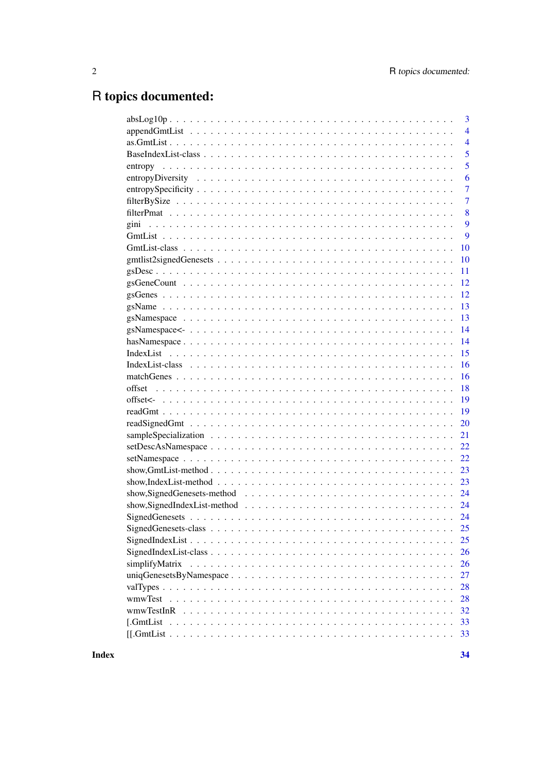# R topics documented:

|                                                                                                                    | 3              |
|--------------------------------------------------------------------------------------------------------------------|----------------|
|                                                                                                                    | $\overline{4}$ |
|                                                                                                                    | $\overline{4}$ |
|                                                                                                                    | 5              |
|                                                                                                                    | 5              |
|                                                                                                                    | 6              |
|                                                                                                                    | 7              |
|                                                                                                                    | 7              |
|                                                                                                                    | 8              |
|                                                                                                                    | 9              |
|                                                                                                                    | 9              |
|                                                                                                                    | 10             |
|                                                                                                                    | 10             |
|                                                                                                                    | 11             |
|                                                                                                                    | 12             |
|                                                                                                                    | 12             |
|                                                                                                                    | 13             |
|                                                                                                                    | 13             |
|                                                                                                                    | 14             |
|                                                                                                                    | 14             |
|                                                                                                                    | 15             |
|                                                                                                                    | 16             |
|                                                                                                                    | 16             |
|                                                                                                                    | 18             |
|                                                                                                                    | 19             |
|                                                                                                                    | 19             |
|                                                                                                                    | 20             |
|                                                                                                                    | 21             |
|                                                                                                                    | 22             |
|                                                                                                                    | 22             |
| show, GmtList-method $\ldots \ldots \ldots \ldots \ldots \ldots \ldots \ldots \ldots \ldots \ldots \ldots \ldots$  | 23             |
| $show, IndexList-method \dots \dots \dots \dots \dots \dots \dots \dots \dots \dots \dots \dots \dots \dots \dots$ | 23             |
|                                                                                                                    |                |
|                                                                                                                    | 24             |
|                                                                                                                    |                |
|                                                                                                                    | 25             |
|                                                                                                                    | 25             |
|                                                                                                                    | 26             |
|                                                                                                                    | 26             |
|                                                                                                                    | 27             |
|                                                                                                                    | 28             |
|                                                                                                                    | 28             |
|                                                                                                                    | 32             |
|                                                                                                                    | 33             |
|                                                                                                                    | 33             |
|                                                                                                                    |                |

**Index**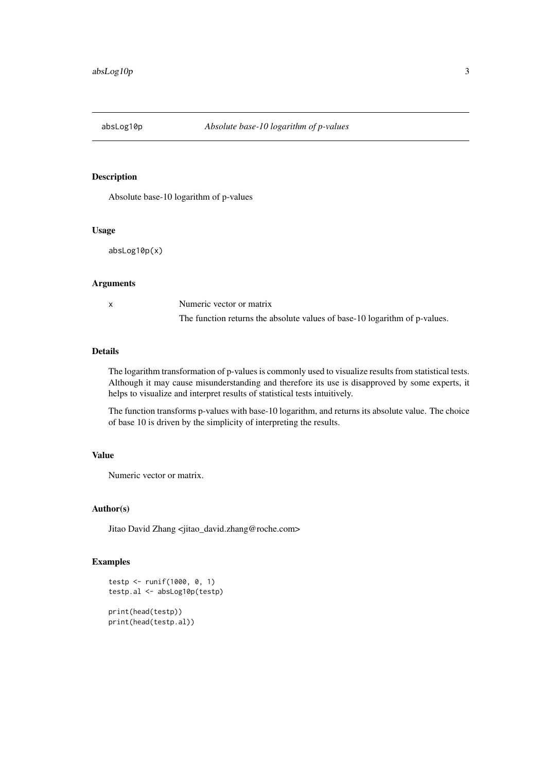<span id="page-2-0"></span>

Absolute base-10 logarithm of p-values

#### Usage

absLog10p(x)

# Arguments

x Numeric vector or matrix The function returns the absolute values of base-10 logarithm of p-values.

#### Details

The logarithm transformation of p-values is commonly used to visualize results from statistical tests. Although it may cause misunderstanding and therefore its use is disapproved by some experts, it helps to visualize and interpret results of statistical tests intuitively.

The function transforms p-values with base-10 logarithm, and returns its absolute value. The choice of base 10 is driven by the simplicity of interpreting the results.

## Value

Numeric vector or matrix.

# Author(s)

Jitao David Zhang <jitao\_david.zhang@roche.com>

```
testp <- runif(1000, 0, 1)
testp.al <- absLog10p(testp)
print(head(testp))
print(head(testp.al))
```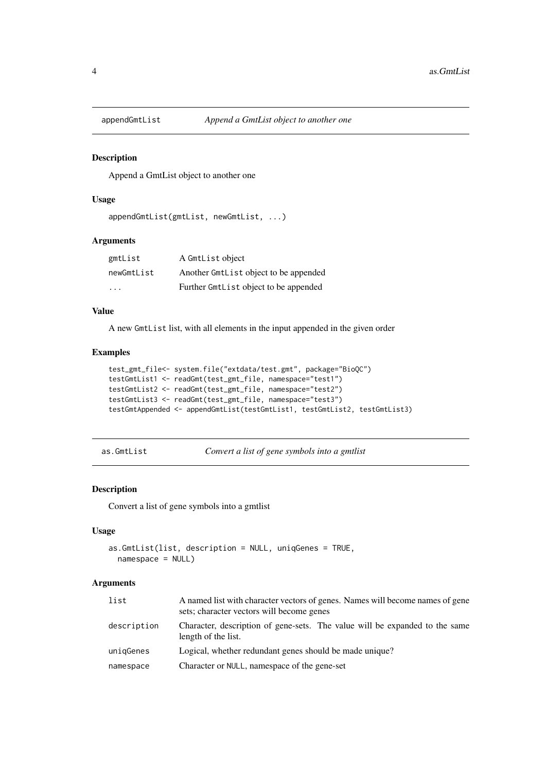<span id="page-3-0"></span>

Append a GmtList object to another one

# Usage

```
appendGmtList(gmtList, newGmtList, ...)
```
#### Arguments

| gmtList                 | A GmtList object                      |
|-------------------------|---------------------------------------|
| newGmtList              | Another GmtList object to be appended |
| $\cdot$ $\cdot$ $\cdot$ | Further GmtList object to be appended |

# Value

A new GmtList list, with all elements in the input appended in the given order

#### Examples

```
test_gmt_file<- system.file("extdata/test.gmt", package="BioQC")
testGmtList1 <- readGmt(test_gmt_file, namespace="test1")
testGmtList2 <- readGmt(test_gmt_file, namespace="test2")
testGmtList3 <- readGmt(test_gmt_file, namespace="test3")
testGmtAppended <- appendGmtList(testGmtList1, testGmtList2, testGmtList3)
```

```
as.GmtList Convert a list of gene symbols into a gmtlist
```
# Description

Convert a list of gene symbols into a gmtlist

# Usage

```
as.GmtList(list, description = NULL, uniqGenes = TRUE,
 namespace = NULL)
```
#### Arguments

| list        | A named list with character vectors of genes. Names will become names of gene<br>sets; character vectors will become genes |  |
|-------------|----------------------------------------------------------------------------------------------------------------------------|--|
| description | Character, description of gene-sets. The value will be expanded to the same<br>length of the list.                         |  |
| unigGenes   | Logical, whether redundant genes should be made unique?                                                                    |  |
| namespace   | Character or NULL, namespace of the gene-set                                                                               |  |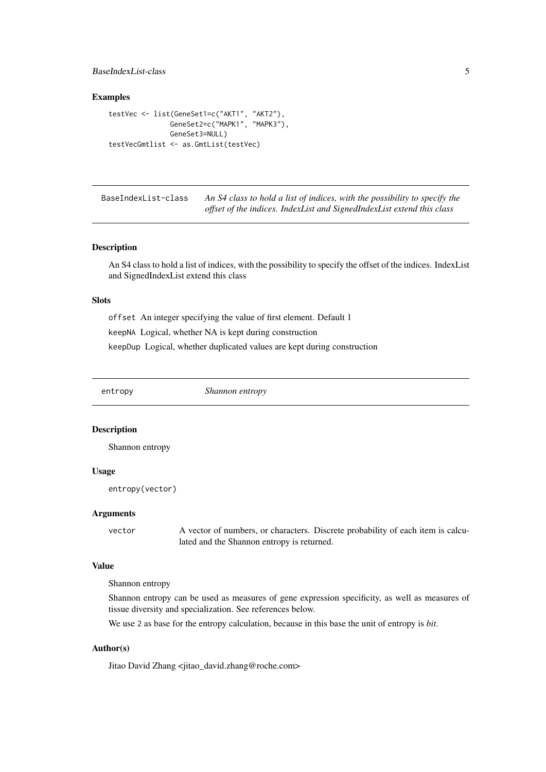#### <span id="page-4-0"></span>BaseIndexList-class 5

#### Examples

```
testVec <- list(GeneSet1=c("AKT1", "AKT2"),
               GeneSet2=c("MAPK1", "MAPK3"),
               GeneSet3=NULL)
testVecGmtlist <- as.GmtList(testVec)
```
BaseIndexList-class *An S4 class to hold a list of indices, with the possibility to specify the offset of the indices. IndexList and SignedIndexList extend this class*

#### Description

An S4 class to hold a list of indices, with the possibility to specify the offset of the indices. IndexList and SignedIndexList extend this class

# Slots

offset An integer specifying the value of first element. Default 1 keepNA Logical, whether NA is kept during construction keepDup Logical, whether duplicated values are kept during construction

<span id="page-4-1"></span>entropy *Shannon entropy*

#### Description

Shannon entropy

#### Usage

entropy(vector)

#### Arguments

vector A vector of numbers, or characters. Discrete probability of each item is calculated and the Shannon entropy is returned.

# Value

Shannon entropy

Shannon entropy can be used as measures of gene expression specificity, as well as measures of tissue diversity and specialization. See references below.

We use 2 as base for the entropy calculation, because in this base the unit of entropy is *bit*.

# Author(s)

Jitao David Zhang <jitao\_david.zhang@roche.com>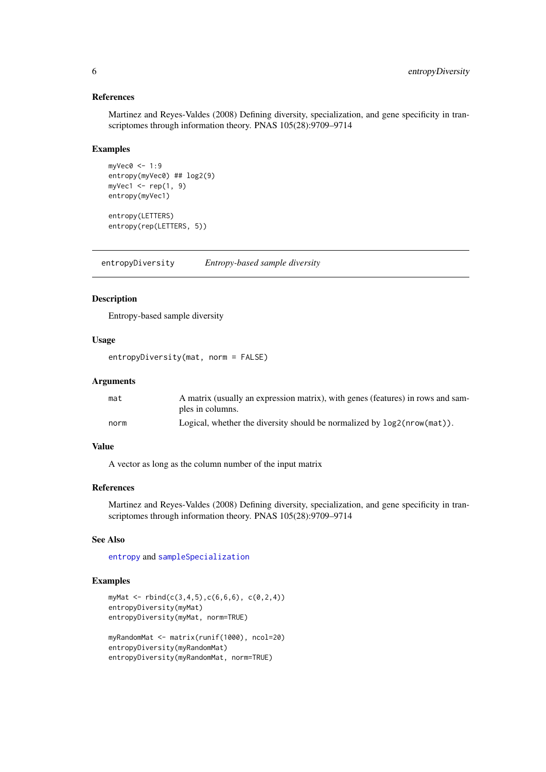# References

Martinez and Reyes-Valdes (2008) Defining diversity, specialization, and gene specificity in transcriptomes through information theory. PNAS 105(28):9709–9714

#### Examples

```
myVec0 \le -1:9entropy(myVec0) ## log2(9)
myVec1 \leq rep(1, 9)
entropy(myVec1)
```
entropy(LETTERS) entropy(rep(LETTERS, 5))

<span id="page-5-1"></span>entropyDiversity *Entropy-based sample diversity*

# Description

Entropy-based sample diversity

# Usage

entropyDiversity(mat, norm = FALSE)

#### Arguments

| mat  | A matrix (usually an expression matrix), with genes (features) in rows and sam- |
|------|---------------------------------------------------------------------------------|
|      | ples in columns.                                                                |
| norm | Logical, whether the diversity should be normalized by $log2(nrow(mat))$ .      |

# Value

A vector as long as the column number of the input matrix

#### References

Martinez and Reyes-Valdes (2008) Defining diversity, specialization, and gene specificity in transcriptomes through information theory. PNAS 105(28):9709–9714

# See Also

[entropy](#page-4-1) and [sampleSpecialization](#page-20-1)

```
myMat <- rbind(c(3,4,5),c(6,6,6), c(0,2,4))entropyDiversity(myMat)
entropyDiversity(myMat, norm=TRUE)
myRandomMat <- matrix(runif(1000), ncol=20)
```

```
entropyDiversity(myRandomMat)
entropyDiversity(myRandomMat, norm=TRUE)
```
<span id="page-5-0"></span>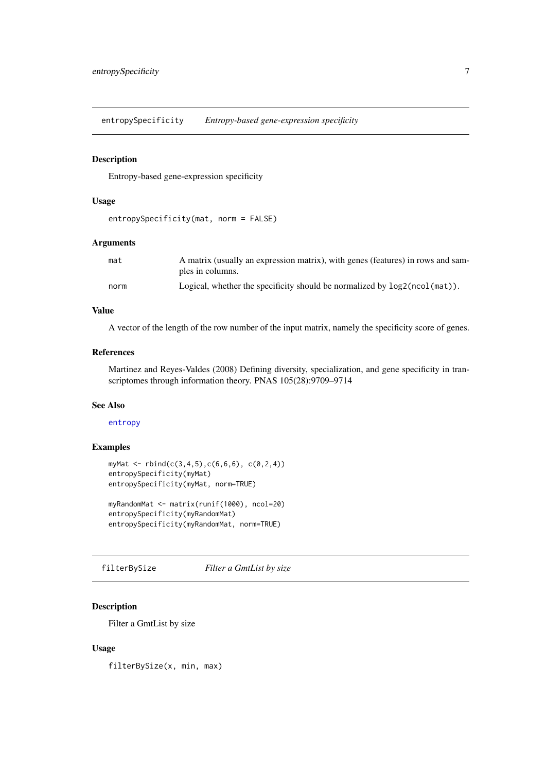<span id="page-6-0"></span>entropySpecificity *Entropy-based gene-expression specificity*

## Description

Entropy-based gene-expression specificity

# Usage

```
entropySpecificity(mat, norm = FALSE)
```
# Arguments

| mat  | A matrix (usually an expression matrix), with genes (features) in rows and sam- |
|------|---------------------------------------------------------------------------------|
|      | ples in columns.                                                                |
| norm | Logical, whether the specificity should be normalized by $log2(ncol(mat))$ .    |

# Value

A vector of the length of the row number of the input matrix, namely the specificity score of genes.

#### References

Martinez and Reyes-Valdes (2008) Defining diversity, specialization, and gene specificity in transcriptomes through information theory. PNAS 105(28):9709–9714

# See Also

[entropy](#page-4-1)

# Examples

```
myMat <- rbind(c(3,4,5),c(6,6,6), c(0,2,4))entropySpecificity(myMat)
entropySpecificity(myMat, norm=TRUE)
```

```
myRandomMat <- matrix(runif(1000), ncol=20)
entropySpecificity(myRandomMat)
entropySpecificity(myRandomMat, norm=TRUE)
```
filterBySize *Filter a GmtList by size*

# Description

Filter a GmtList by size

# Usage

filterBySize(x, min, max)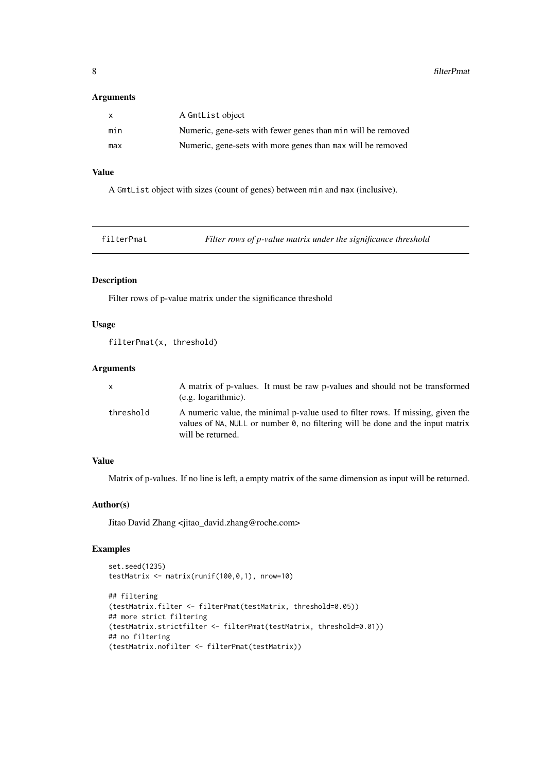### <span id="page-7-0"></span>Arguments

| X   | A GmtList object                                             |
|-----|--------------------------------------------------------------|
| min | Numeric, gene-sets with fewer genes than min will be removed |
| max | Numeric, gene-sets with more genes than max will be removed  |

# Value

A GmtList object with sizes (count of genes) between min and max (inclusive).

| filterPmat | Filter rows of p-value matrix under the significance threshold |
|------------|----------------------------------------------------------------|
|            |                                                                |

# Description

Filter rows of p-value matrix under the significance threshold

# Usage

```
filterPmat(x, threshold)
```
# Arguments

| x         | A matrix of p-values. It must be raw p-values and should not be transformed<br>$(e.g. logarithmic)$ .                                                                                          |
|-----------|------------------------------------------------------------------------------------------------------------------------------------------------------------------------------------------------|
| threshold | A numeric value, the minimal p-value used to filter rows. If missing, given the<br>values of NA, NULL or number $\theta$ , no filtering will be done and the input matrix<br>will be returned. |

# Value

Matrix of p-values. If no line is left, a empty matrix of the same dimension as input will be returned.

#### Author(s)

Jitao David Zhang <jitao\_david.zhang@roche.com>

```
set.seed(1235)
testMatrix <- matrix(runif(100,0,1), nrow=10)
## filtering
(testMatrix.filter <- filterPmat(testMatrix, threshold=0.05))
## more strict filtering
(testMatrix.strictfilter <- filterPmat(testMatrix, threshold=0.01))
## no filtering
(testMatrix.nofilter <- filterPmat(testMatrix))
```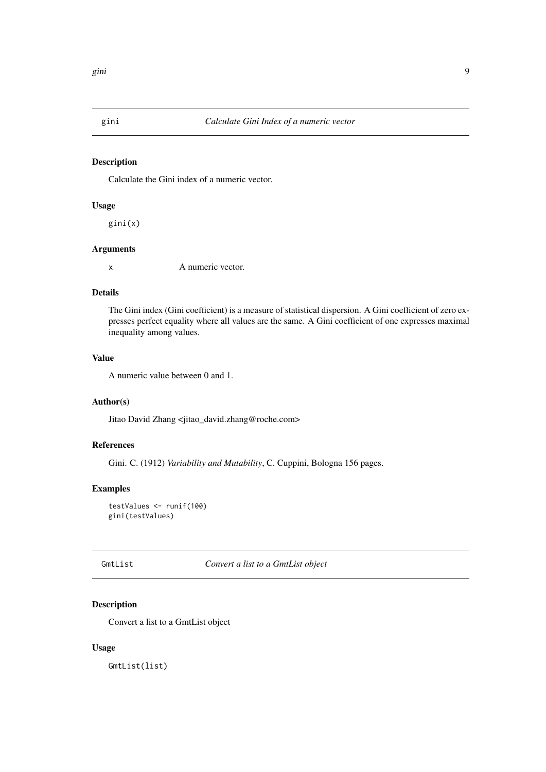<span id="page-8-0"></span>

Calculate the Gini index of a numeric vector.

# Usage

gini(x)

# Arguments

x A numeric vector.

#### Details

The Gini index (Gini coefficient) is a measure of statistical dispersion. A Gini coefficient of zero expresses perfect equality where all values are the same. A Gini coefficient of one expresses maximal inequality among values.

# Value

A numeric value between 0 and 1.

# Author(s)

Jitao David Zhang <jitao\_david.zhang@roche.com>

# References

Gini. C. (1912) *Variability and Mutability*, C. Cuppini, Bologna 156 pages.

# Examples

testValues <- runif(100) gini(testValues)

GmtList *Convert a list to a GmtList object*

# Description

Convert a list to a GmtList object

# Usage

GmtList(list)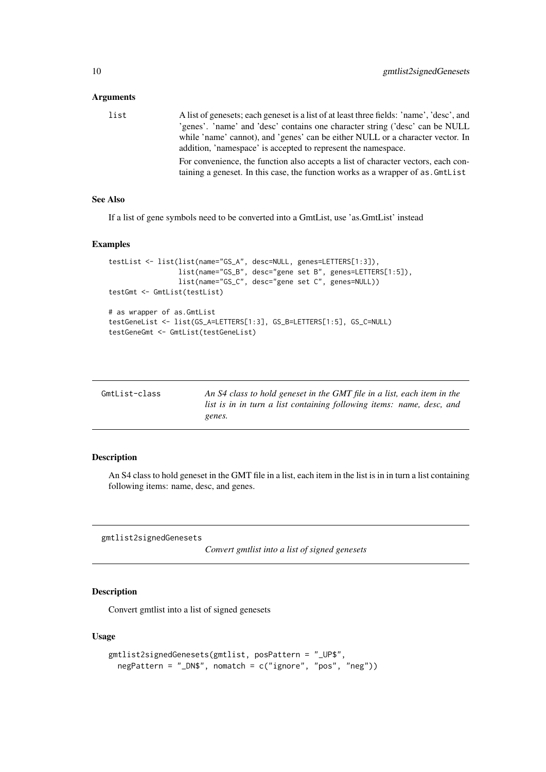# <span id="page-9-0"></span>Arguments

list A list of genesets; each geneset is a list of at least three fields: 'name', 'desc', and 'genes'. 'name' and 'desc' contains one character string ('desc' can be NULL while 'name' cannot), and 'genes' can be either NULL or a character vector. In addition, 'namespace' is accepted to represent the namespace. For convenience, the function also accepts a list of character vectors, each containing a geneset. In this case, the function works as a wrapper of as.GmtList

# See Also

If a list of gene symbols need to be converted into a GmtList, use 'as.GmtList' instead

#### Examples

```
testList <- list(list(name="GS_A", desc=NULL, genes=LETTERS[1:3]),
                 list(name="GS_B", desc="gene set B", genes=LETTERS[1:5]),
                 list(name="GS_C", desc="gene set C", genes=NULL))
testGmt <- GmtList(testList)
# as wrapper of as.GmtList
testGeneList <- list(GS_A=LETTERS[1:3], GS_B=LETTERS[1:5], GS_C=NULL)
testGeneGmt <- GmtList(testGeneList)
```

| GmtList-class | An S4 class to hold geneset in the GMT file in a list, each item in the |
|---------------|-------------------------------------------------------------------------|
|               | list is in in turn a list containing following items: name, desc, and   |
|               | genes.                                                                  |

#### **Description**

An S4 class to hold geneset in the GMT file in a list, each item in the list is in in turn a list containing following items: name, desc, and genes.

<span id="page-9-1"></span>gmtlist2signedGenesets

*Convert gmtlist into a list of signed genesets*

#### Description

Convert gmtlist into a list of signed genesets

# Usage

```
gmtlist2signedGenesets(gmtlist, posPattern = "_UP$",
 negPattern = "_DN$", nomatch = c("ignore", "pos", "neg"))
```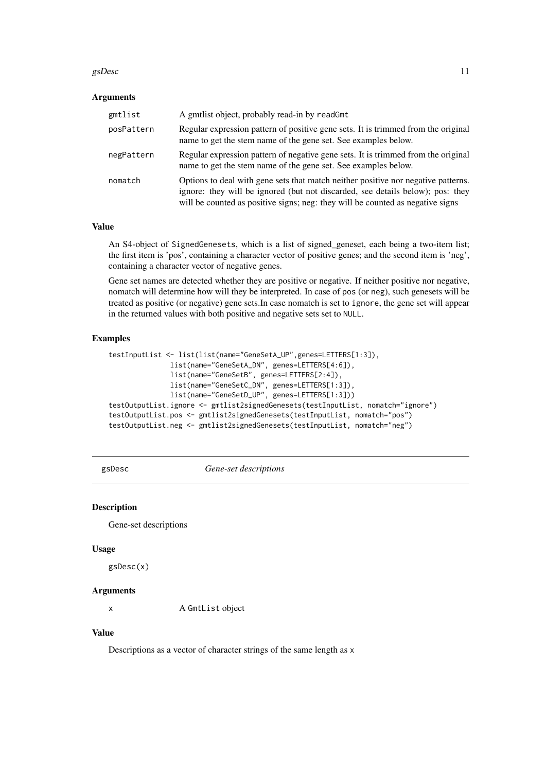#### <span id="page-10-0"></span> $g$ sDesc  $11$

#### Arguments

| gmtlist    | A gmtlist object, probably read-in by readGmt                                                                                                                                                                                                         |
|------------|-------------------------------------------------------------------------------------------------------------------------------------------------------------------------------------------------------------------------------------------------------|
| posPattern | Regular expression pattern of positive gene sets. It is trimmed from the original<br>name to get the stem name of the gene set. See examples below.                                                                                                   |
| negPattern | Regular expression pattern of negative gene sets. It is trimmed from the original<br>name to get the stem name of the gene set. See examples below.                                                                                                   |
| nomatch    | Options to deal with gene sets that match neither positive nor negative patterns.<br>ignore: they will be ignored (but not discarded, see details below); pos: they<br>will be counted as positive signs; neg: they will be counted as negative signs |

# Value

An S4-object of SignedGenesets, which is a list of signed\_geneset, each being a two-item list; the first item is 'pos', containing a character vector of positive genes; and the second item is 'neg', containing a character vector of negative genes.

Gene set names are detected whether they are positive or negative. If neither positive nor negative, nomatch will determine how will they be interpreted. In case of pos (or neg), such genesets will be treated as positive (or negative) gene sets.In case nomatch is set to ignore, the gene set will appear in the returned values with both positive and negative sets set to NULL.

# Examples

```
testInputList <- list(list(name="GeneSetA_UP",genes=LETTERS[1:3]),
               list(name="GeneSetA_DN", genes=LETTERS[4:6]),
               list(name="GeneSetB", genes=LETTERS[2:4]),
              list(name="GeneSetC_DN", genes=LETTERS[1:3]),
              list(name="GeneSetD_UP", genes=LETTERS[1:3]))
testOutputList.ignore <- gmtlist2signedGenesets(testInputList, nomatch="ignore")
testOutputList.pos <- gmtlist2signedGenesets(testInputList, nomatch="pos")
testOutputList.neg <- gmtlist2signedGenesets(testInputList, nomatch="neg")
```
<span id="page-10-1"></span>gsDesc *Gene-set descriptions*

# Description

Gene-set descriptions

## Usage

gsDesc(x)

#### Arguments

x A GmtList object

# Value

Descriptions as a vector of character strings of the same length as x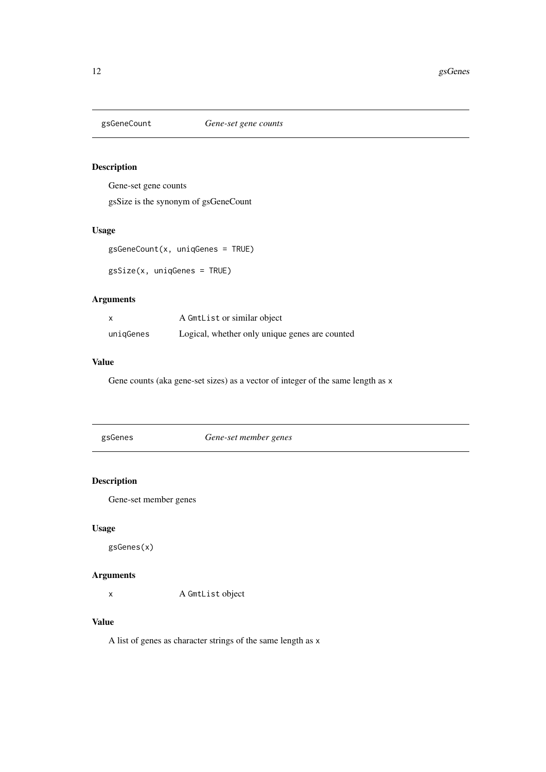<span id="page-11-0"></span>

Gene-set gene counts

gsSize is the synonym of gsGeneCount

# Usage

gsGeneCount(x, uniqGenes = TRUE)

gsSize(x, uniqGenes = TRUE)

# Arguments

| $\boldsymbol{\mathsf{x}}$ | A GmtList or similar object                    |  |
|---------------------------|------------------------------------------------|--|
| uniqGenes                 | Logical, whether only unique genes are counted |  |

# Value

Gene counts (aka gene-set sizes) as a vector of integer of the same length as x

<span id="page-11-1"></span>

| gsGenes |  |
|---------|--|
|         |  |

Gene-set member genes

# Description

Gene-set member genes

# Usage

gsGenes(x)

# Arguments

x A GmtList object

# Value

A list of genes as character strings of the same length as x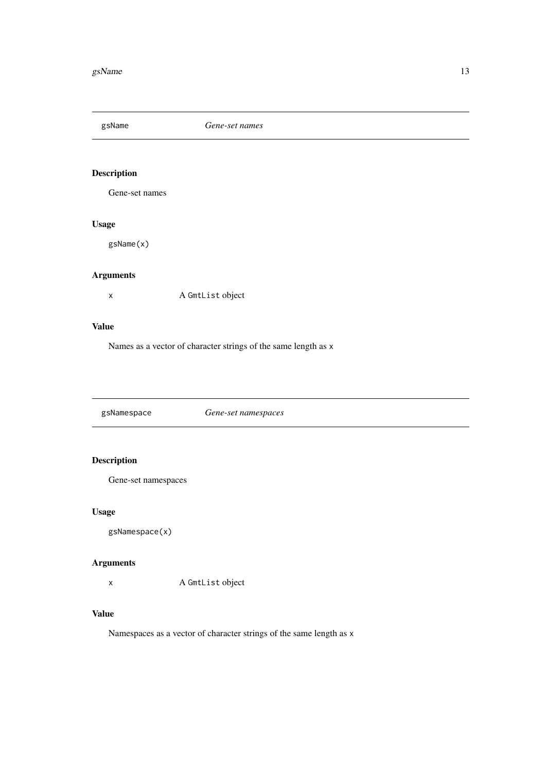<span id="page-12-1"></span><span id="page-12-0"></span>

Gene-set names

# Usage

gsName(x)

# Arguments

x A GmtList object

# Value

Names as a vector of character strings of the same length as x

<span id="page-12-2"></span>gsNamespace *Gene-set namespaces*

# Description

Gene-set namespaces

# Usage

gsNamespace(x)

# Arguments

x A GmtList object

# Value

Namespaces as a vector of character strings of the same length as x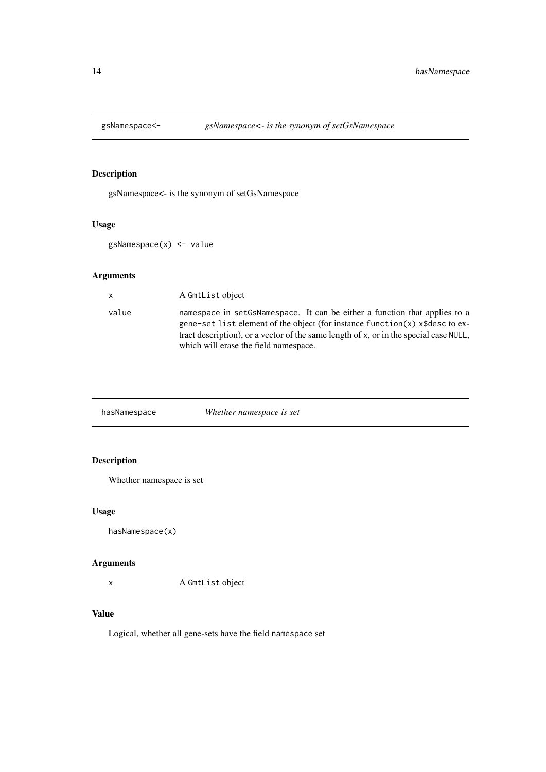<span id="page-13-0"></span>

gsNamespace<- is the synonym of setGsNamespace

# Usage

gsNamespace(x) <- value

# Arguments

| $\mathsf{x}$ | A GmtList object                                                                                                                                                                                                                                                                                   |
|--------------|----------------------------------------------------------------------------------------------------------------------------------------------------------------------------------------------------------------------------------------------------------------------------------------------------|
| value        | namespace in set GsNamespace. It can be either a function that applies to a<br>gene-set list element of the object (for instance function $(x)$ x \$ desc to ex-<br>tract description), or a vector of the same length of x, or in the special case NULL,<br>which will erase the field namespace. |
|              |                                                                                                                                                                                                                                                                                                    |

| Whether namespace is set |  |
|--------------------------|--|
|                          |  |

# Description

Whether namespace is set

# Usage

hasNamespace(x)

# Arguments

x A GmtList object

# Value

Logical, whether all gene-sets have the field namespace set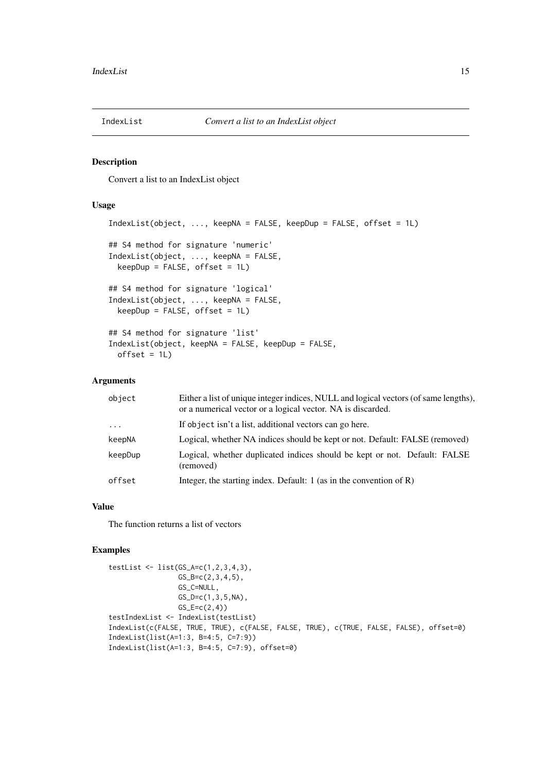<span id="page-14-0"></span>

Convert a list to an IndexList object

# Usage

```
IndexList(object, ..., keepNA = FALSE, keepDup = FALSE, offset = 1L)
## S4 method for signature 'numeric'
IndexList(object, ..., keepNA = FALSE,
 keepDup = FALSE, offset = 1L)## S4 method for signature 'logical'
IndexList(object, ..., keepNA = FALSE,
 keepDup = FALSE, offset = 1L)## S4 method for signature 'list'
IndexList(object, keepNA = FALSE, keepDup = FALSE,
 offset = 1L)
```
# Arguments

| object   | Either a list of unique integer indices, NULL and logical vectors (of same lengths).<br>or a numerical vector or a logical vector. NA is discarded. |
|----------|-----------------------------------------------------------------------------------------------------------------------------------------------------|
| $\ddots$ | If object isn't a list, additional vectors can go here.                                                                                             |
| keepNA   | Logical, whether NA indices should be kept or not. Default: FALSE (removed)                                                                         |
| keepDup  | Logical, whether duplicated indices should be kept or not. Default: FALSE<br>(removed)                                                              |
| offset   | Integer, the starting index. Default: $1$ (as in the convention of R)                                                                               |

## Value

The function returns a list of vectors

```
testList \leq list(GS_A=c(1,2,3,4,3),
                 GS_{B} = c(2,3,4,5),
                 GS_C=NULL,
                 GS\_D=c(1,3,5,NA),
                 GS_E=c(2,4)testIndexList <- IndexList(testList)
IndexList(c(FALSE, TRUE, TRUE), c(FALSE, FALSE, TRUE), c(TRUE, FALSE, FALSE), offset=0)
IndexList(list(A=1:3, B=4:5, C=7:9))
IndexList(list(A=1:3, B=4:5, C=7:9), offset=0)
```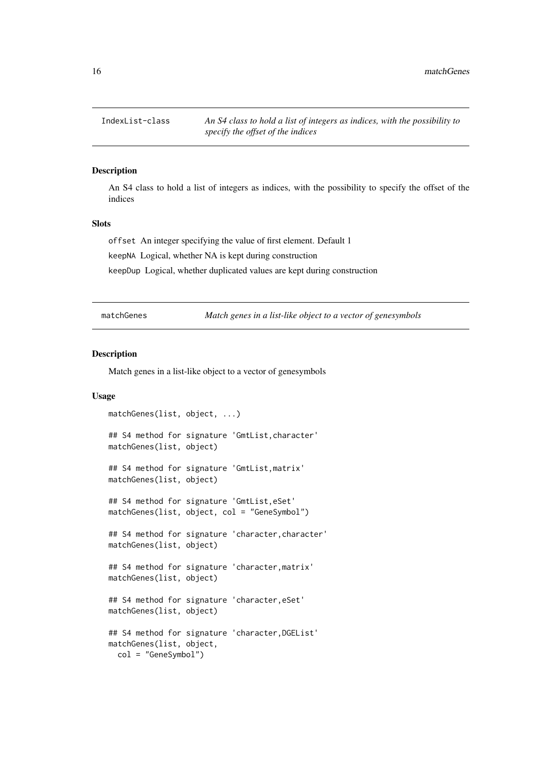<span id="page-15-0"></span>

An S4 class to hold a list of integers as indices, with the possibility to specify the offset of the indices

#### Slots

offset An integer specifying the value of first element. Default 1

keepNA Logical, whether NA is kept during construction

keepDup Logical, whether duplicated values are kept during construction

matchGenes *Match genes in a list-like object to a vector of genesymbols*

#### Description

Match genes in a list-like object to a vector of genesymbols

# Usage

```
matchGenes(list, object, ...)
## S4 method for signature 'GmtList,character'
matchGenes(list, object)
## S4 method for signature 'GmtList,matrix'
matchGenes(list, object)
## S4 method for signature 'GmtList,eSet'
matchGenes(list, object, col = "GeneSymbol")
## S4 method for signature 'character, character'
matchGenes(list, object)
## S4 method for signature 'character, matrix'
matchGenes(list, object)
## S4 method for signature 'character, eSet'
matchGenes(list, object)
## S4 method for signature 'character, DGEList'
matchGenes(list, object,
  col = "GeneSymbol")
```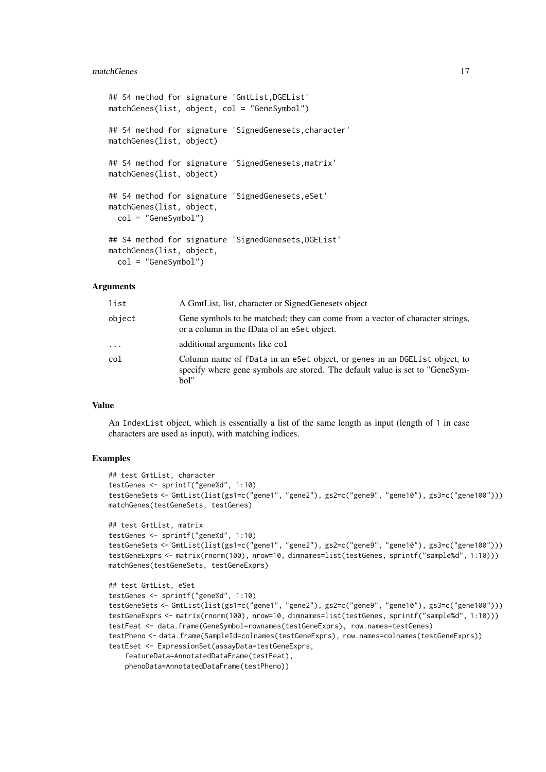#### matchGenes 17

```
## S4 method for signature 'GmtList,DGEList'
matchGenes(list, object, col = "GeneSymbol")
## S4 method for signature 'SignedGenesets, character'
matchGenes(list, object)
## S4 method for signature 'SignedGenesets,matrix'
matchGenes(list, object)
## S4 method for signature 'SignedGenesets, eSet'
matchGenes(list, object,
  col = "GeneSymbol")
## S4 method for signature 'SignedGenesets,DGEList'
matchGenes(list, object,
  col = "GeneSymbol")
```
# Arguments

| list     | A GmtList, list, character or Signed Genesets object                                                                                                               |
|----------|--------------------------------------------------------------------------------------------------------------------------------------------------------------------|
| object   | Gene symbols to be matched; they can come from a vector of character strings,<br>or a column in the fData of an eSet object.                                       |
| $\ddots$ | additional arguments like col                                                                                                                                      |
| col      | Column name of fData in an eSet object, or genes in an DGE List object, to<br>specify where gene symbols are stored. The default value is set to "GeneSym-<br>bol" |

# Value

An IndexList object, which is essentially a list of the same length as input (length of 1 in case characters are used as input), with matching indices.

```
## test GmtList, character
testGenes <- sprintf("gene%d", 1:10)
testGeneSets <- GmtList(list(gs1=c("gene1", "gene2"), gs2=c("gene9", "gene10"), gs3=c("gene100")))
matchGenes(testGeneSets, testGenes)
## test GmtList, matrix
```

```
testGenes <- sprintf("gene%d", 1:10)
testGeneSets <- GmtList(list(gs1=c("gene1", "gene2"), gs2=c("gene9", "gene10"), gs3=c("gene100")))
testGeneExprs <- matrix(rnorm(100), nrow=10, dimnames=list(testGenes, sprintf("sample%d", 1:10)))
matchGenes(testGeneSets, testGeneExprs)
```

```
## test GmtList, eSet
testGenes <- sprintf("gene%d", 1:10)
testGeneSets <- GmtList(list(gs1=c("gene1", "gene2"), gs2=c("gene9", "gene10"), gs3=c("gene100")))
testGeneExprs <- matrix(rnorm(100), nrow=10, dimnames=list(testGenes, sprintf("sample%d", 1:10)))
testFeat <- data.frame(GeneSymbol=rownames(testGeneExprs), row.names=testGenes)
testPheno <- data.frame(SampleId=colnames(testGeneExprs), row.names=colnames(testGeneExprs))
testEset <- ExpressionSet(assayData=testGeneExprs,
    featureData=AnnotatedDataFrame(testFeat),
    phenoData=AnnotatedDataFrame(testPheno))
```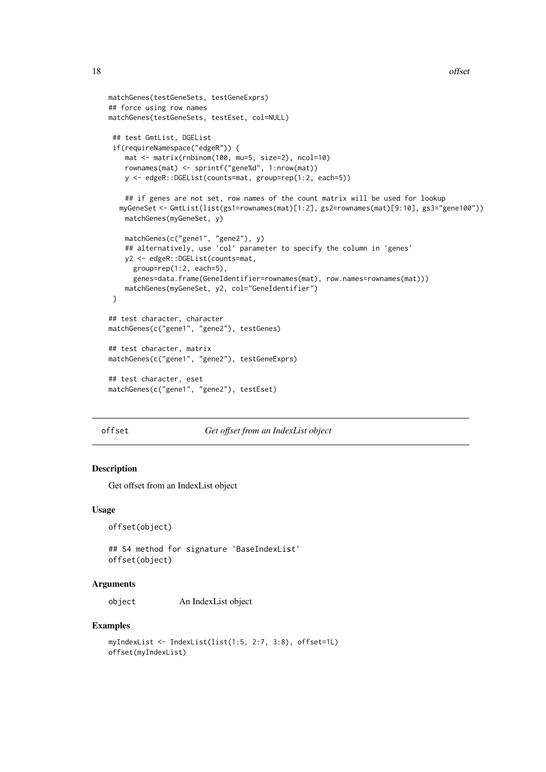```
matchGenes(testGeneSets, testGeneExprs)
## force using row names
matchGenes(testGeneSets, testEset, col=NULL)
 ## test GmtList, DGEList
 if(requireNamespace("edgeR")) {
    mat <- matrix(rnbinom(100, mu=5, size=2), ncol=10)
    rownames(mat) <- sprintf("gene%d", 1:nrow(mat))
    y <- edgeR::DGEList(counts=mat, group=rep(1:2, each=5))
    ## if genes are not set, row names of the count matrix will be used for lookup
  myGeneSet <- GmtList(list(gs1=rownames(mat)[1:2], gs2=rownames(mat)[9:10], gs3="gene100"))
    matchGenes(myGeneSet, y)
    matchGenes(c("gene1", "gene2"), y)
    ## alternatively, use 'col' parameter to specify the column in 'genes'
    y2 <- edgeR::DGEList(counts=mat,
      group=rep(1:2, each=5),
      genes=data.frame(GeneIdentifier=rownames(mat), row.names=rownames(mat)))
    matchGenes(myGeneSet, y2, col="GeneIdentifier")
 }
## test character, character
matchGenes(c("gene1", "gene2"), testGenes)
## test character, matrix
matchGenes(c("gene1", "gene2"), testGeneExprs)
## test character, eset
matchGenes(c("gene1", "gene2"), testEset)
```
#### offset *Get offset from an IndexList object*

# Description

Get offset from an IndexList object

#### Usage

```
offset(object)
```
## S4 method for signature 'BaseIndexList' offset(object)

#### Arguments

object An IndexList object

```
myIndexList <- IndexList(list(1:5, 2:7, 3:8), offset=1L)
offset(myIndexList)
```
<span id="page-17-0"></span>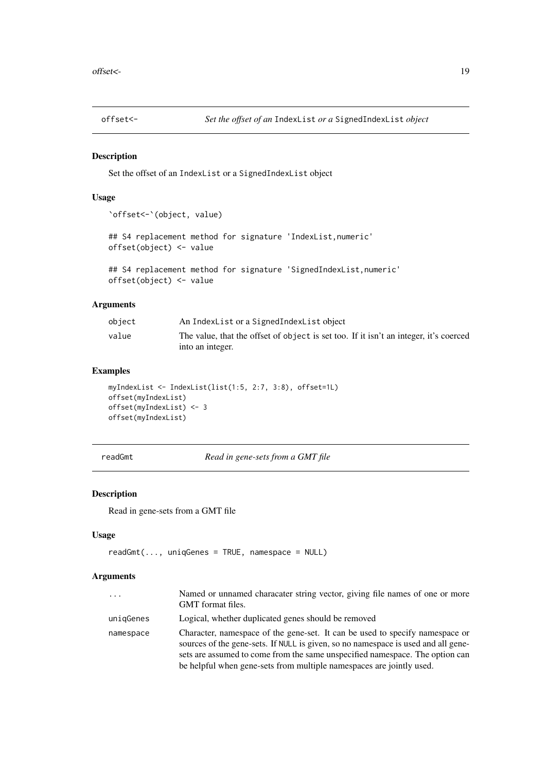<span id="page-18-0"></span>

Set the offset of an IndexList or a SignedIndexList object

# Usage

```
`offset<-`(object, value)
```

```
## S4 replacement method for signature 'IndexList, numeric'
offset(object) <- value
```

```
## S4 replacement method for signature 'SignedIndexList,numeric'
offset(object) <- value
```
# Arguments

| object | An IndexList or a SignedIndexList object                                              |
|--------|---------------------------------------------------------------------------------------|
| value  | The value, that the offset of object is set too. If it isn't an integer, it's coerced |
|        | into an integer.                                                                      |

# Examples

```
myIndexList <- IndexList(list(1:5, 2:7, 3:8), offset=1L)
offset(myIndexList)
offset(myIndexList) <- 3
offset(myIndexList)
```
<span id="page-18-1"></span>readGmt *Read in gene-sets from a GMT file*

#### Description

Read in gene-sets from a GMT file

# Usage

```
readGmt(..., uniqueGenes = TRUE, namespace = NULL)
```
## Arguments

| $\cdots$  | Named or unnamed characater string vector, giving file names of one or more<br>GMT format files.                                                                                                                                                                                                                          |
|-----------|---------------------------------------------------------------------------------------------------------------------------------------------------------------------------------------------------------------------------------------------------------------------------------------------------------------------------|
| uniqGenes | Logical, whether duplicated genes should be removed                                                                                                                                                                                                                                                                       |
| namespace | Character, namespace of the gene-set. It can be used to specify namespace or<br>sources of the gene-sets. If NULL is given, so no namespace is used and all gene-<br>sets are assumed to come from the same unspecified namespace. The option can<br>be helpful when gene-sets from multiple namespaces are jointly used. |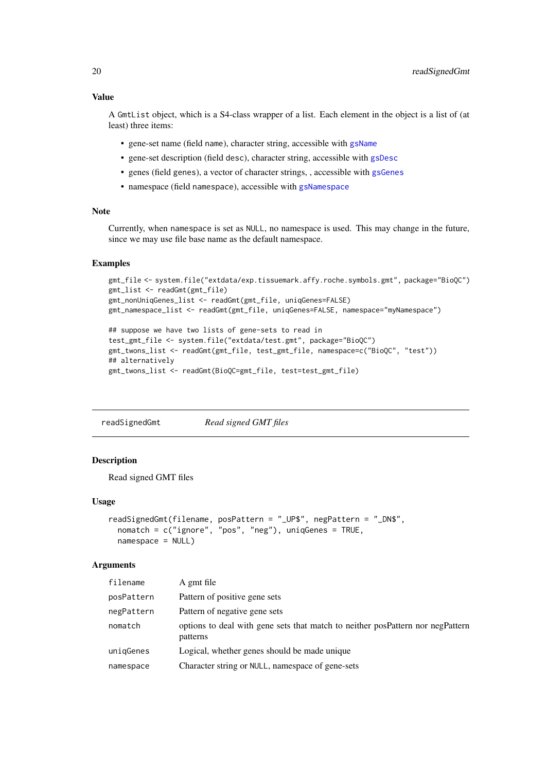# Value

A GmtList object, which is a S4-class wrapper of a list. Each element in the object is a list of (at least) three items:

- gene-set name (field name), character string, accessible with [gsName](#page-12-1)
- gene-set description (field desc), character string, accessible with [gsDesc](#page-10-1)
- genes (field genes), a vector of character strings, , accessible with [gsGenes](#page-11-1)
- namespace (field namespace), accessible with [gsNamespace](#page-12-2)

# Note

Currently, when namespace is set as NULL, no namespace is used. This may change in the future, since we may use file base name as the default namespace.

#### Examples

```
gmt_file <- system.file("extdata/exp.tissuemark.affy.roche.symbols.gmt", package="BioQC")
gmt_list <- readGmt(gmt_file)
gmt_nonUniqGenes_list <- readGmt(gmt_file, uniqGenes=FALSE)
gmt_namespace_list <- readGmt(gmt_file, uniqGenes=FALSE, namespace="myNamespace")
```

```
## suppose we have two lists of gene-sets to read in
test_gmt_file <- system.file("extdata/test.gmt", package="BioQC")
gmt_twons_list <- readGmt(gmt_file, test_gmt_file, namespace=c("BioQC", "test"))
## alternatively
gmt_twons_list <- readGmt(BioQC=gmt_file, test=test_gmt_file)
```
readSignedGmt *Read signed GMT files*

#### Description

Read signed GMT files

#### Usage

```
readSignedGmt(filename, posPattern = "_UP$", negPattern = "_DN$",
 nomatch = c("ignore", "pos", "neg"), uniqGenes = TRUE,
 namespace = NULL)
```
#### Arguments

| filename   | A gmt file                                                                                 |
|------------|--------------------------------------------------------------------------------------------|
| posPattern | Pattern of positive gene sets                                                              |
| negPattern | Pattern of negative gene sets                                                              |
| nomatch    | options to deal with gene sets that match to neither posPattern nor negPattern<br>patterns |
| unigGenes  | Logical, whether genes should be made unique                                               |
| namespace  | Character string or NULL, namespace of gene-sets                                           |
|            |                                                                                            |

<span id="page-19-0"></span>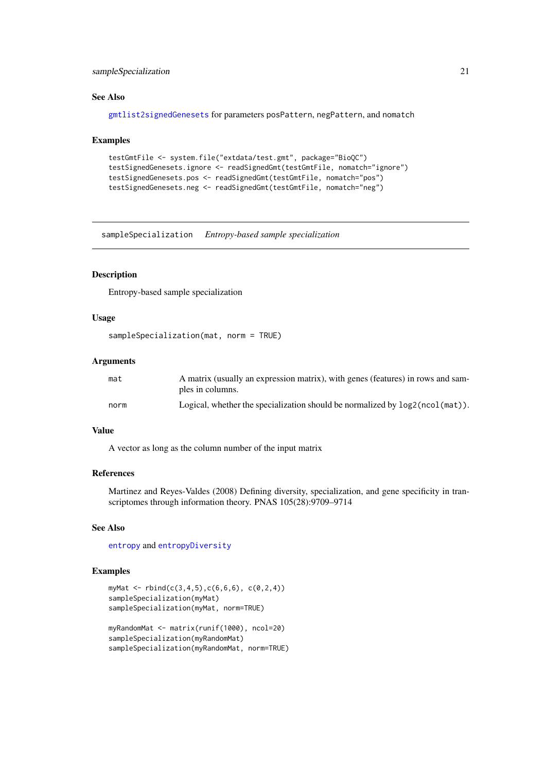#### <span id="page-20-0"></span>sampleSpecialization 21

#### See Also

[gmtlist2signedGenesets](#page-9-1) for parameters posPattern, negPattern, and nomatch

#### Examples

```
testGmtFile <- system.file("extdata/test.gmt", package="BioQC")
testSignedGenesets.ignore <- readSignedGmt(testGmtFile, nomatch="ignore")
testSignedGenesets.pos <- readSignedGmt(testGmtFile, nomatch="pos")
testSignedGenesets.neg <- readSignedGmt(testGmtFile, nomatch="neg")
```
<span id="page-20-1"></span>sampleSpecialization *Entropy-based sample specialization*

# Description

Entropy-based sample specialization

# Usage

```
sampleSpecialization(mat, norm = TRUE)
```
# Arguments

| mat  | A matrix (usually an expression matrix), with genes (features) in rows and sam-<br>ples in columns. |
|------|-----------------------------------------------------------------------------------------------------|
| norm | Logical, whether the specialization should be normalized by $log2(ncol(mat))$ .                     |

# Value

A vector as long as the column number of the input matrix

#### References

Martinez and Reyes-Valdes (2008) Defining diversity, specialization, and gene specificity in transcriptomes through information theory. PNAS 105(28):9709–9714

# See Also

[entropy](#page-4-1) and [entropyDiversity](#page-5-1)

```
myMat <- rbind(c(3,4,5),c(6,6,6), c(0,2,4))sampleSpecialization(myMat)
sampleSpecialization(myMat, norm=TRUE)
myRandomMat <- matrix(runif(1000), ncol=20)
sampleSpecialization(myRandomMat)
```

```
sampleSpecialization(myRandomMat, norm=TRUE)
```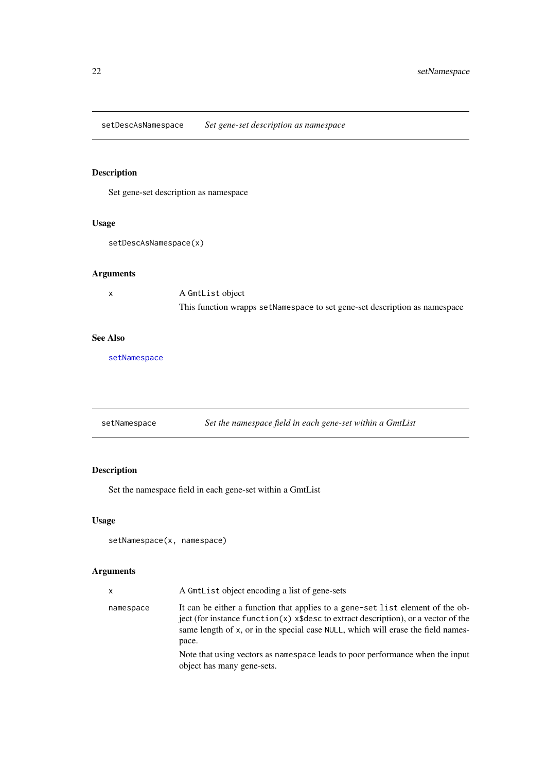<span id="page-21-0"></span>setDescAsNamespace *Set gene-set description as namespace*

# Description

Set gene-set description as namespace

# Usage

setDescAsNamespace(x)

# Arguments

x A GmtList object This function wrapps setNamespace to set gene-set description as namespace

# See Also

[setNamespace](#page-21-1)

<span id="page-21-1"></span>

| setNamespace |  | Set the namespace field in each gene-set within a GmtList |
|--------------|--|-----------------------------------------------------------|
|              |  |                                                           |

# Description

Set the namespace field in each gene-set within a GmtList

# Usage

```
setNamespace(x, namespace)
```
# Arguments

| X         | A GmtList object encoding a list of gene-sets                                                                                                                                                                                                                         |
|-----------|-----------------------------------------------------------------------------------------------------------------------------------------------------------------------------------------------------------------------------------------------------------------------|
| namespace | It can be either a function that applies to a gene-set list element of the ob-<br>ject (for instance function $(x)$ x\\$desc to extract description), or a vector of the<br>same length of x, or in the special case NULL, which will erase the field names-<br>pace. |
|           | Note that using vectors as namespace leads to poor performance when the input<br>object has many gene-sets.                                                                                                                                                           |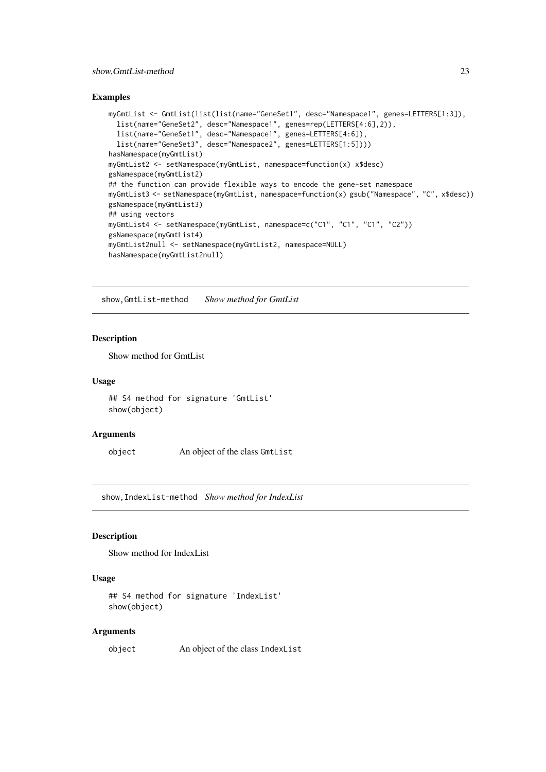#### <span id="page-22-0"></span>show,GmtList-method 23

#### Examples

```
myGmtList <- GmtList(list(list(name="GeneSet1", desc="Namespace1", genes=LETTERS[1:3]),
  list(name="GeneSet2", desc="Namespace1", genes=rep(LETTERS[4:6],2)),
  list(name="GeneSet1", desc="Namespace1", genes=LETTERS[4:6]),
  list(name="GeneSet3", desc="Namespace2", genes=LETTERS[1:5])))
hasNamespace(myGmtList)
myGmtList2 <- setNamespace(myGmtList, namespace=function(x) x$desc)
gsNamespace(myGmtList2)
## the function can provide flexible ways to encode the gene-set namespace
myGmtList3 <- setNamespace(myGmtList, namespace=function(x) gsub("Namespace", "C", x$desc))
gsNamespace(myGmtList3)
## using vectors
myGmtList4 <- setNamespace(myGmtList, namespace=c("C1", "C1", "C1", "C2"))
gsNamespace(myGmtList4)
myGmtList2null <- setNamespace(myGmtList2, namespace=NULL)
hasNamespace(myGmtList2null)
```
show,GmtList-method *Show method for GmtList*

#### Description

Show method for GmtList

#### Usage

```
## S4 method for signature 'GmtList'
show(object)
```
#### Arguments

object An object of the class GmtList

show,IndexList-method *Show method for IndexList*

# Description

Show method for IndexList

#### Usage

```
## S4 method for signature 'IndexList'
show(object)
```
#### Arguments

object An object of the class IndexList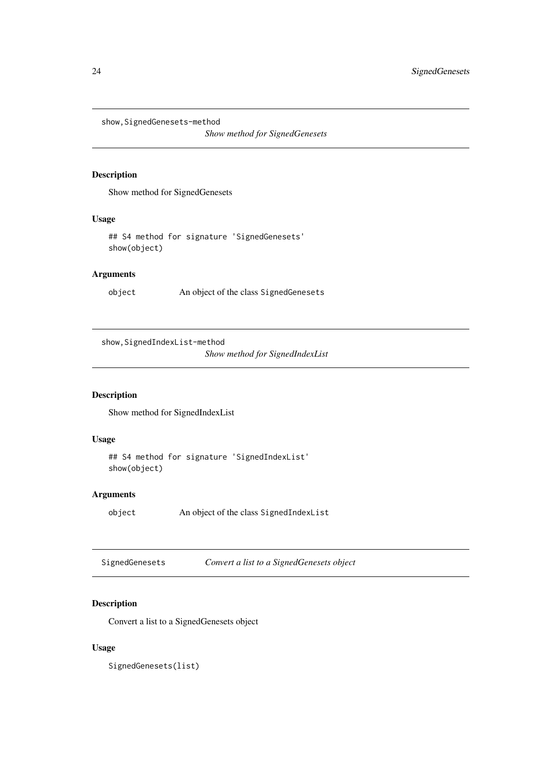<span id="page-23-0"></span>show, SignedGenesets-method

*Show method for SignedGenesets*

# Description

Show method for SignedGenesets

# Usage

## S4 method for signature 'SignedGenesets' show(object)

# Arguments

object An object of the class SignedGenesets

show,SignedIndexList-method

*Show method for SignedIndexList*

# Description

Show method for SignedIndexList

# Usage

## S4 method for signature 'SignedIndexList' show(object)

# Arguments

object An object of the class SignedIndexList

SignedGenesets *Convert a list to a SignedGenesets object*

# Description

Convert a list to a SignedGenesets object

# Usage

SignedGenesets(list)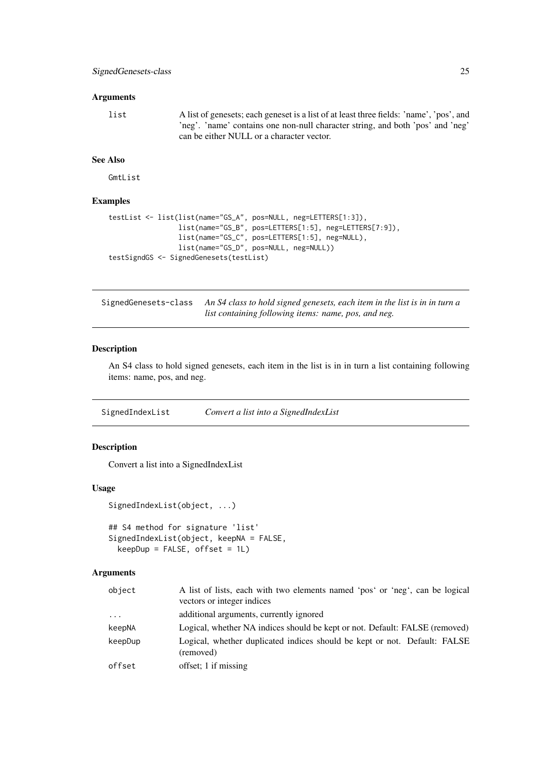# <span id="page-24-0"></span>Arguments

list A list of genesets; each geneset is a list of at least three fields: 'name', 'pos', and 'neg'. 'name' contains one non-null character string, and both 'pos' and 'neg' can be either NULL or a character vector.

# See Also

GmtList

# Examples

```
testList <- list(list(name="GS_A", pos=NULL, neg=LETTERS[1:3]),
                 list(name="GS_B", pos=LETTERS[1:5], neg=LETTERS[7:9]),
                 list(name="GS_C", pos=LETTERS[1:5], neg=NULL),
                 list(name="GS_D", pos=NULL, neg=NULL))
testSigndGS <- SignedGenesets(testList)
```
SignedGenesets-class *An S4 class to hold signed genesets, each item in the list is in in turn a list containing following items: name, pos, and neg.*

#### Description

An S4 class to hold signed genesets, each item in the list is in in turn a list containing following items: name, pos, and neg.

SignedIndexList *Convert a list into a SignedIndexList*

# Description

Convert a list into a SignedIndexList

#### Usage

```
SignedIndexList(object, ...)
```

```
## S4 method for signature 'list'
SignedIndexList(object, keepNA = FALSE,
 keepDup = FALSE, offset = 1L)
```
#### Arguments

| object   | A list of lists, each with two elements named 'pos' or 'neg', can be logical<br>vectors or integer indices |
|----------|------------------------------------------------------------------------------------------------------------|
| $\cdots$ | additional arguments, currently ignored                                                                    |
| keepNA   | Logical, whether NA indices should be kept or not. Default: FALSE (removed)                                |
| keepDup  | Logical, whether duplicated indices should be kept or not. Default: FALSE<br>(removed)                     |
| offset   | offset: 1 if missing                                                                                       |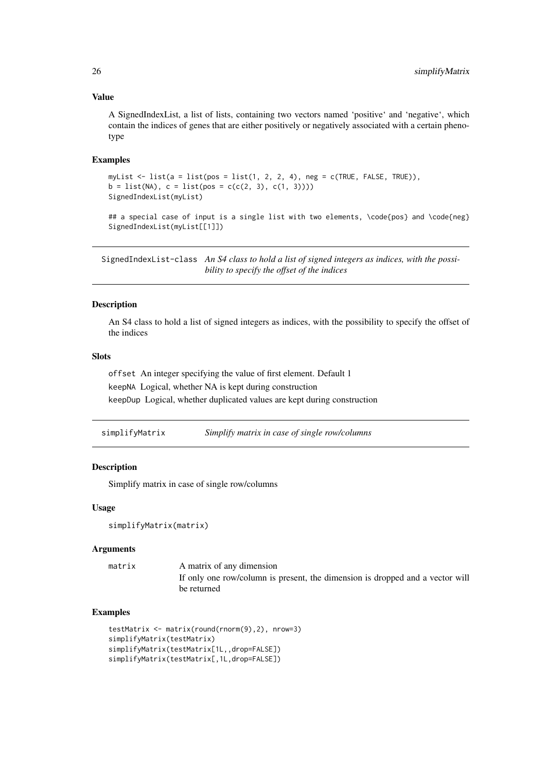#### Value

A SignedIndexList, a list of lists, containing two vectors named 'positive' and 'negative', which contain the indices of genes that are either positively or negatively associated with a certain phenotype

# Examples

```
myList \le list(a = list(pos = list(1, 2, 2, 4), neg = c(TRUE, FALSE, TRUE)),
b = list(MA), c = list(pos = c(c(2, 3), c(1, 3))))SignedIndexList(myList)
## a special case of input is a single list with two elements, \code{pos} and \code{neg}
```

```
SignedIndexList(myList[[1]])
```
SignedIndexList-class *An S4 class to hold a list of signed integers as indices, with the possibility to specify the offset of the indices*

# Description

An S4 class to hold a list of signed integers as indices, with the possibility to specify the offset of the indices

# Slots

offset An integer specifying the value of first element. Default 1 keepNA Logical, whether NA is kept during construction keepDup Logical, whether duplicated values are kept during construction

|  | simplifyMatrix |  | Simplify matrix in case of single row/columns |
|--|----------------|--|-----------------------------------------------|
|--|----------------|--|-----------------------------------------------|

#### Description

Simplify matrix in case of single row/columns

#### Usage

```
simplifyMatrix(matrix)
```
#### Arguments

matrix A matrix of any dimension If only one row/column is present, the dimension is dropped and a vector will be returned

```
testMatrix <- matrix(round(rnorm(9),2), nrow=3)
simplifyMatrix(testMatrix)
simplifyMatrix(testMatrix[1L,,drop=FALSE])
simplifyMatrix(testMatrix[,1L,drop=FALSE])
```
<span id="page-25-0"></span>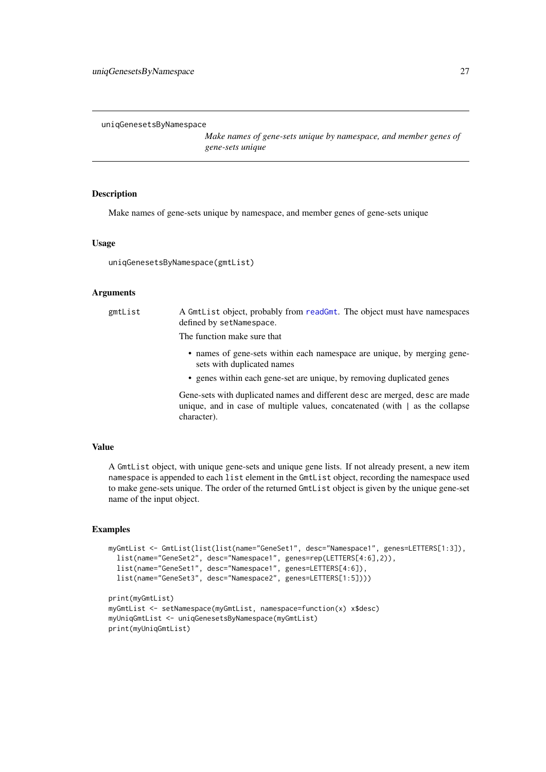<span id="page-26-0"></span>uniqGenesetsByNamespace

*Make names of gene-sets unique by namespace, and member genes of gene-sets unique*

# Description

Make names of gene-sets unique by namespace, and member genes of gene-sets unique

#### Usage

uniqGenesetsByNamespace(gmtList)

character).

#### Arguments

| gmtList | A GmtList object, probably from readGmt. The object must have namespaces<br>defined by setNamespace.                                                               |
|---------|--------------------------------------------------------------------------------------------------------------------------------------------------------------------|
|         | The function make sure that                                                                                                                                        |
|         | • names of gene-sets within each namespace are unique, by merging gene-<br>sets with duplicated names                                                              |
|         | • genes within each gene-set are unique, by removing duplicated genes                                                                                              |
|         | Gene-sets with duplicated names and different desc are merged, desc are made<br>unique, and in case of multiple values, concatenated (with $\vert$ as the collapse |

#### Value

A GmtList object, with unique gene-sets and unique gene lists. If not already present, a new item namespace is appended to each list element in the GmtList object, recording the namespace used to make gene-sets unique. The order of the returned GmtList object is given by the unique gene-set name of the input object.

```
myGmtList <- GmtList(list(list(name="GeneSet1", desc="Namespace1", genes=LETTERS[1:3]),
  list(name="GeneSet2", desc="Namespace1", genes=rep(LETTERS[4:6],2)),
  list(name="GeneSet1", desc="Namespace1", genes=LETTERS[4:6]),
  list(name="GeneSet3", desc="Namespace2", genes=LETTERS[1:5])))
print(myGmtList)
myGmtList <- setNamespace(myGmtList, namespace=function(x) x$desc)
myUniqGmtList <- uniqGenesetsByNamespace(myGmtList)
print(myUniqGmtList)
```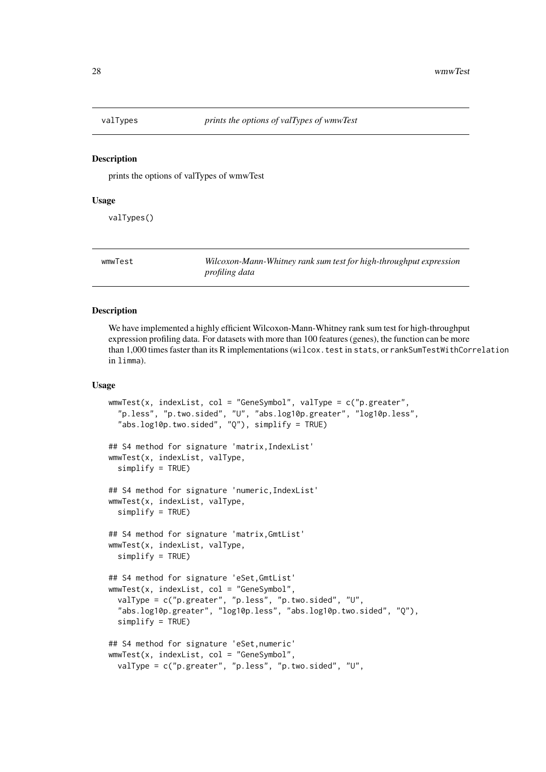<span id="page-27-0"></span>

prints the options of valTypes of wmwTest

#### Usage

valTypes()

wmwTest *Wilcoxon-Mann-Whitney rank sum test for high-throughput expression profiling data*

#### Description

We have implemented a highly efficient Wilcoxon-Mann-Whitney rank sum test for high-throughput expression profiling data. For datasets with more than 100 features (genes), the function can be more than 1,000 times faster than its R implementations (wilcox.test in stats, or rankSumTestWithCorrelation in limma).

#### Usage

```
wmwTest(x, indexList, col = "GeneSymbol", valType = c("p.greater",
  "p.less", "p.two.sided", "U", "abs.log10p.greater", "log10p.less",
  "abs.log10p.two.sided", "Q"), simplify = TRUE)
## S4 method for signature 'matrix,IndexList'
wmwTest(x, indexList, valType,
  simplify = TRUE)
## S4 method for signature 'numeric,IndexList'
wmwTest(x, indexList, valType,
  simplify = TRUE)
## S4 method for signature 'matrix,GmtList'
wmwTest(x, indexList, valType,
  simplify = TRUE)
## S4 method for signature 'eSet,GmtList'
wwwTest(x, indexList, col = "GeneSymbol".valType = c("p.greater", "p.less", "p.two.sided", "U",
  "abs.log10p.greater", "log10p.less", "abs.log10p.two.sided", "Q"),
  simplify = TRUE)
## S4 method for signature 'eSet,numeric'
wmwTest(x, indexList, col = "GeneSymbol",
  valType = c("p.greater", "p.less", "p.two.sided", "U",
```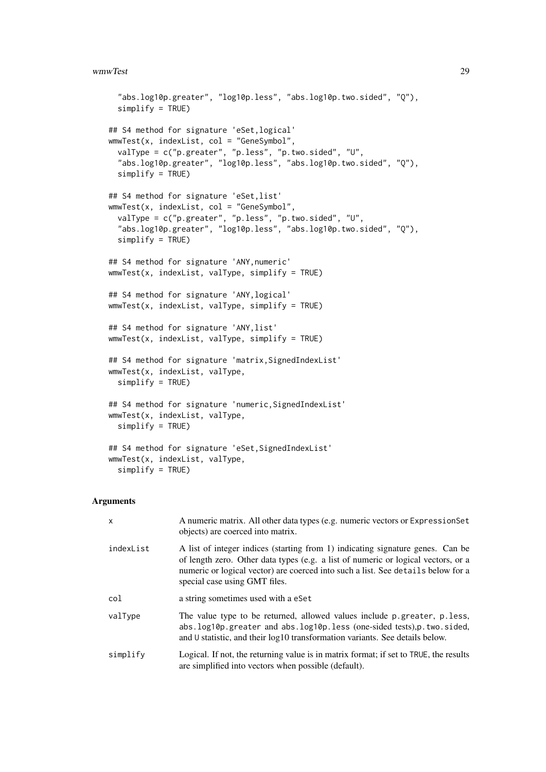#### wmwTest 29

```
"abs.log10p.greater", "log10p.less", "abs.log10p.two.sided", "Q"),
  simplify = TRUE)
## S4 method for signature 'eSet,logical'
wmwTest(x, indexList, col = "GeneSymbol",
 valType = c("p.greater", "p.less", "p.two.sided", "U",
  "abs.log10p.greater", "log10p.less", "abs.log10p.two.sided", "Q"),
  simplify = TRUE)
## S4 method for signature 'eSet,list'
wmwTest(x, indexList, col = "GeneSymbol",
 valType = c("p.greater", "p.less", "p.two.sided", "U",
  "abs.log10p.greater", "log10p.less", "abs.log10p.two.sided", "Q"),
 simplify = TRUE)
## S4 method for signature 'ANY,numeric'
wmwTest(x, indexList, valType, simplify = TRUE)
## S4 method for signature 'ANY,logical'
wmwTest(x, indexList, valType, simplify = TRUE)
## S4 method for signature 'ANY,list'
wmwTest(x, indexList, valType, simplify = TRUE)
## S4 method for signature 'matrix, SignedIndexList'
wmwTest(x, indexList, valType,
 simplify = TRUE)
## S4 method for signature 'numeric, SignedIndexList'
wmwTest(x, indexList, valType,
  simplify = TRUE)
## S4 method for signature 'eSet,SignedIndexList'
wmwTest(x, indexList, valType,
  simplify = TRUE)
```
#### Arguments

| $\mathsf{x}$ | A numeric matrix. All other data types (e.g. numeric vectors or ExpressionSet<br>objects) are coerced into matrix.                                                                                                                                                                       |
|--------------|------------------------------------------------------------------------------------------------------------------------------------------------------------------------------------------------------------------------------------------------------------------------------------------|
| indexList    | A list of integer indices (starting from 1) indicating signature genes. Can be<br>of length zero. Other data types (e.g. a list of numeric or logical vectors, or a<br>numeric or logical vector) are coerced into such a list. See details below for a<br>special case using GMT files. |
| col          | a string sometimes used with a eSet                                                                                                                                                                                                                                                      |
| valType      | The value type to be returned, allowed values include p.greater, p.less,<br>abs.log10p.greater and abs.log10p.less (one-sided tests), p.two.sided,<br>and U statistic, and their log10 transformation variants. See details below.                                                       |
| simplify     | Logical. If not, the returning value is in matrix format; if set to TRUE, the results<br>are simplified into vectors when possible (default).                                                                                                                                            |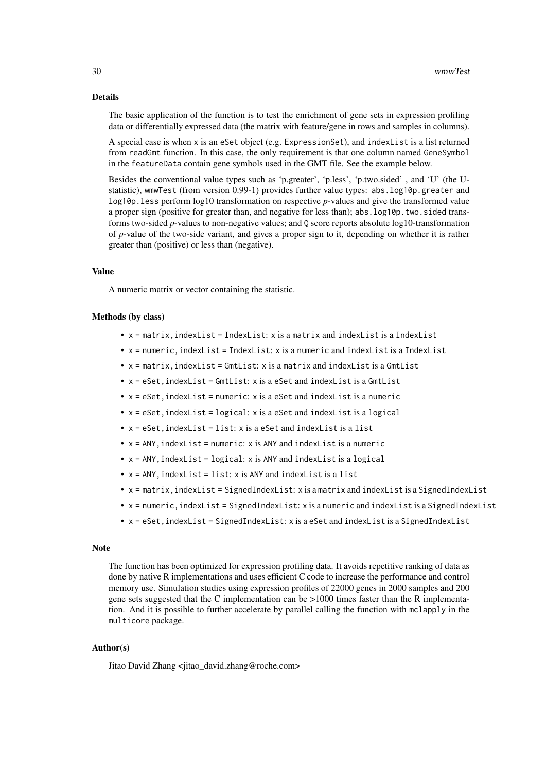#### Details

The basic application of the function is to test the enrichment of gene sets in expression profiling data or differentially expressed data (the matrix with feature/gene in rows and samples in columns).

A special case is when x is an eSet object (e.g. ExpressionSet), and indexList is a list returned from readGmt function. In this case, the only requirement is that one column named GeneSymbol in the featureData contain gene symbols used in the GMT file. See the example below.

Besides the conventional value types such as 'p.greater', 'p.less', 'p.two.sided' , and 'U' (the Ustatistic), wmwTest (from version 0.99-1) provides further value types: abs.log10p.greater and log10p.less perform log10 transformation on respective *p*-values and give the transformed value a proper sign (positive for greater than, and negative for less than); abs.  $log10p$ . two. sided transforms two-sided *p*-values to non-negative values; and Q score reports absolute log10-transformation of *p*-value of the two-side variant, and gives a proper sign to it, depending on whether it is rather greater than (positive) or less than (negative).

#### Value

A numeric matrix or vector containing the statistic.

# Methods (by class)

- x = matrix,indexList = IndexList: x is a matrix and indexList is a IndexList
- x = numeric,indexList = IndexList: x is a numeric and indexList is a IndexList
- x = matrix,indexList = GmtList: x is a matrix and indexList is a GmtList
- x = eSet,indexList = GmtList: x is a eSet and indexList is a GmtList
- $\bullet$  x = eSet, indexList = numeric: x is a eSet and indexList is a numeric
- $\bullet$  x = eSet, indexList = logical: x is a eSet and indexList is a logical
- x = eSet,indexList = list: x is a eSet and indexList is a list
- $x = ANY$ ,  $indexList = numeric$ :  $x$  is ANY and  $indexList$  is a numeric
- $x = ANY$ , indexList = logical: x is ANY and indexList is a logical
- $\bullet$  x = ANY, indexList = list: x is ANY and indexList is a list
- x = matrix,indexList = SignedIndexList: x is a matrix and indexList is a SignedIndexList
- x = numeric,indexList = SignedIndexList: x is a numeric and indexList is a SignedIndexList
- x = eSet,indexList = SignedIndexList: x is a eSet and indexList is a SignedIndexList

#### Note

The function has been optimized for expression profiling data. It avoids repetitive ranking of data as done by native R implementations and uses efficient C code to increase the performance and control memory use. Simulation studies using expression profiles of 22000 genes in 2000 samples and 200 gene sets suggested that the C implementation can be >1000 times faster than the R implementation. And it is possible to further accelerate by parallel calling the function with mclapply in the multicore package.

#### Author(s)

Jitao David Zhang <jitao\_david.zhang@roche.com>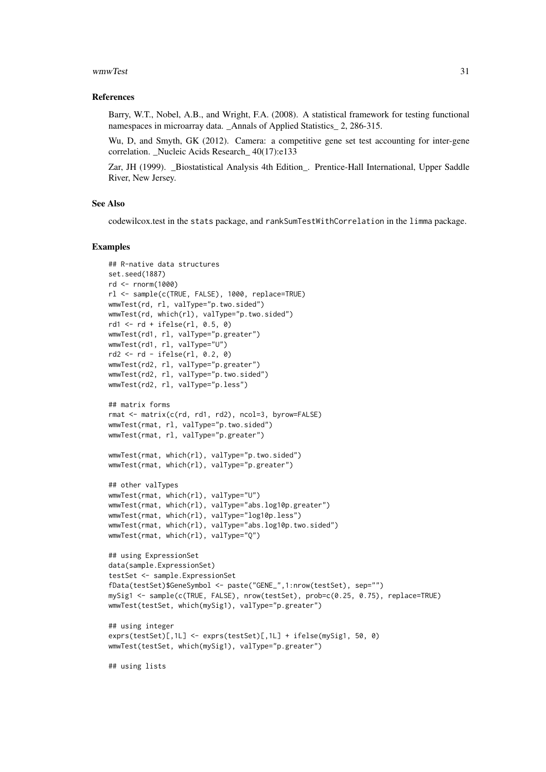#### wmwTest 31

#### References

Barry, W.T., Nobel, A.B., and Wright, F.A. (2008). A statistical framework for testing functional namespaces in microarray data. Annals of Applied Statistics 2, 286-315.

Wu, D, and Smyth, GK (2012). Camera: a competitive gene set test accounting for inter-gene correlation. Nucleic Acids Research 40(17):e133

Zar, JH (1999). Biostatistical Analysis 4th Edition. Prentice-Hall International, Upper Saddle River, New Jersey.

#### See Also

codewilcox.test in the stats package, and rankSumTestWithCorrelation in the limma package.

```
## R-native data structures
set.seed(1887)
rd <- rnorm(1000)
rl <- sample(c(TRUE, FALSE), 1000, replace=TRUE)
wmwTest(rd, rl, valType="p.two.sided")
wmwTest(rd, which(rl), valType="p.two.sided")
rd1 <- rd + ifelse(rl, 0.5, 0)
wmwTest(rd1, rl, valType="p.greater")
wmwTest(rd1, rl, valType="U")
rd2 <- rd - ifelse(rl, 0.2, 0)
wmwTest(rd2, rl, valType="p.greater")
wmwTest(rd2, rl, valType="p.two.sided")
wmwTest(rd2, rl, valType="p.less")
## matrix forms
rmat <- matrix(c(rd, rd1, rd2), ncol=3, byrow=FALSE)
wmwTest(rmat, rl, valType="p.two.sided")
wmwTest(rmat, rl, valType="p.greater")
wmwTest(rmat, which(rl), valType="p.two.sided")
wmwTest(rmat, which(rl), valType="p.greater")
## other valTypes
wmwTest(rmat, which(rl), valType="U")
wmwTest(rmat, which(rl), valType="abs.log10p.greater")
wmwTest(rmat, which(rl), valType="log10p.less")
wmwTest(rmat, which(rl), valType="abs.log10p.two.sided")
wmwTest(rmat, which(rl), valType="Q")
## using ExpressionSet
data(sample.ExpressionSet)
testSet <- sample.ExpressionSet
fData(testSet)$GeneSymbol <- paste("GENE_",1:nrow(testSet), sep="")
mySig1 <- sample(c(TRUE, FALSE), nrow(testSet), prob=c(0.25, 0.75), replace=TRUE)
wmwTest(testSet, which(mySig1), valType="p.greater")
## using integer
exprs(testSet)[,1L] <- exprs(testSet)[,1L] + ifelse(mySig1, 50, 0)
wmwTest(testSet, which(mySig1), valType="p.greater")
## using lists
```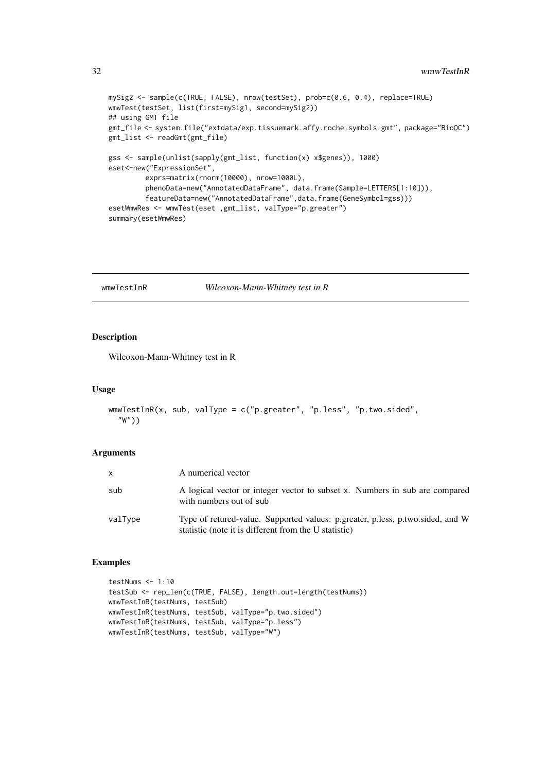```
mySig2 <- sample(c(TRUE, FALSE), nrow(testSet), prob=c(0.6, 0.4), replace=TRUE)
wmwTest(testSet, list(first=mySig1, second=mySig2))
## using GMT file
gmt_file <- system.file("extdata/exp.tissuemark.affy.roche.symbols.gmt", package="BioQC")
gmt_list <- readGmt(gmt_file)
gss <- sample(unlist(sapply(gmt_list, function(x) x$genes)), 1000)
eset<-new("ExpressionSet",
         exprs=matrix(rnorm(10000), nrow=1000L),
         phenoData=new("AnnotatedDataFrame", data.frame(Sample=LETTERS[1:10])),
         featureData=new("AnnotatedDataFrame",data.frame(GeneSymbol=gss)))
esetWmwRes <- wmwTest(eset ,gmt_list, valType="p.greater")
summary(esetWmwRes)
```
wmwTestInR *Wilcoxon-Mann-Whitney test in R*

#### Description

Wilcoxon-Mann-Whitney test in R

# Usage

```
wmwTestInR(x, sub, valType = c("p.greater", "p.less", "p.two.sided",
  "W"))
```
#### Arguments

| $\mathsf{x}$ | A numerical vector                                                                                                                      |  |
|--------------|-----------------------------------------------------------------------------------------------------------------------------------------|--|
| sub          | A logical vector or integer vector to subset x. Numbers in sub are compared<br>with numbers out of sub                                  |  |
| valType      | Type of retured-value. Supported values: p.greater, p.less, p.two.sided, and W<br>statistic (note it is different from the U statistic) |  |

```
testNums <- 1:10
testSub <- rep_len(c(TRUE, FALSE), length.out=length(testNums))
wmwTestInR(testNums, testSub)
wmwTestInR(testNums, testSub, valType="p.two.sided")
wmwTestInR(testNums, testSub, valType="p.less")
wmwTestInR(testNums, testSub, valType="W")
```
<span id="page-31-0"></span>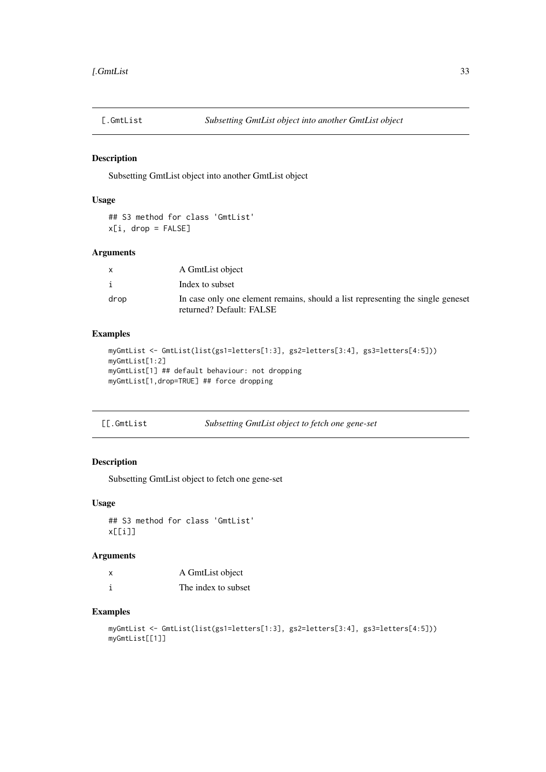<span id="page-32-0"></span>

Subsetting GmtList object into another GmtList object

# Usage

```
## S3 method for class 'GmtList'
x[i, drop = FALSE]
```
# Arguments

|      | A GmtList object                                                                                            |
|------|-------------------------------------------------------------------------------------------------------------|
| j.   | Index to subset                                                                                             |
| drop | In case only one element remains, should a list representing the single geneset<br>returned? Default: FALSE |

#### Examples

```
myGmtList <- GmtList(list(gs1=letters[1:3], gs2=letters[3:4], gs3=letters[4:5]))
myGmtList[1:2]
myGmtList[1] ## default behaviour: not dropping
myGmtList[1,drop=TRUE] ## force dropping
```
# Description

Subsetting GmtList object to fetch one gene-set

# Usage

```
## S3 method for class 'GmtList'
x[[i]]
```
# Arguments

| A GmtList object    |
|---------------------|
| The index to subset |

```
myGmtList <- GmtList(list(gs1=letters[1:3], gs2=letters[3:4], gs3=letters[4:5]))
myGmtList[[1]]
```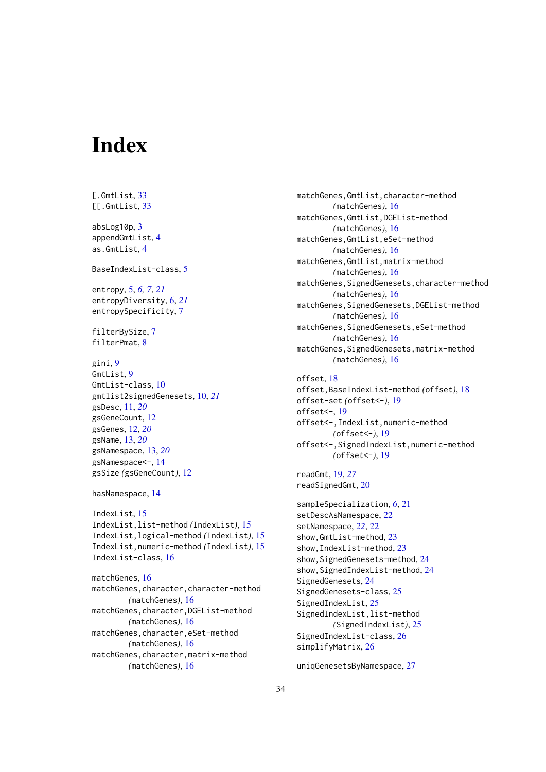# <span id="page-33-0"></span>Index

[.GmtList, [33](#page-32-0) [[.GmtList, [33](#page-32-0) absLog10p, [3](#page-2-0) appendGmtList, [4](#page-3-0) as.GmtList, [4](#page-3-0) BaseIndexList-class, [5](#page-4-0) entropy, [5,](#page-4-0) *[6,](#page-5-0) [7](#page-6-0)*, *[21](#page-20-0)* entropyDiversity, [6,](#page-5-0) *[21](#page-20-0)* entropySpecificity, [7](#page-6-0) filterBySize, [7](#page-6-0) filterPmat, [8](#page-7-0) gini, [9](#page-8-0) GmtList, [9](#page-8-0) GmtList-class, [10](#page-9-0) gmtlist2signedGenesets, [10,](#page-9-0) *[21](#page-20-0)* gsDesc, [11,](#page-10-0) *[20](#page-19-0)* gsGeneCount, [12](#page-11-0) gsGenes, [12,](#page-11-0) *[20](#page-19-0)* gsName, [13,](#page-12-0) *[20](#page-19-0)* gsNamespace, [13,](#page-12-0) *[20](#page-19-0)* gsNamespace<-, [14](#page-13-0) gsSize *(*gsGeneCount*)*, [12](#page-11-0) hasNamespace, [14](#page-13-0) IndexList, [15](#page-14-0) IndexList,list-method *(*IndexList*)*, [15](#page-14-0) IndexList,logical-method *(*IndexList*)*, [15](#page-14-0) IndexList,numeric-method *(*IndexList*)*, [15](#page-14-0) IndexList-class, [16](#page-15-0) matchGenes, [16](#page-15-0) matchGenes,character,character-method *(*matchGenes*)*, [16](#page-15-0) matchGenes,character,DGEList-method *(*matchGenes*)*, [16](#page-15-0) matchGenes,character,eSet-method *(*matchGenes*)*, [16](#page-15-0) matchGenes,character,matrix-method *(*matchGenes*)*, [16](#page-15-0)

matchGenes,GmtList,character-method *(*matchGenes*)*, [16](#page-15-0) matchGenes,GmtList,DGEList-method *(*matchGenes*)*, [16](#page-15-0) matchGenes,GmtList,eSet-method *(*matchGenes*)*, [16](#page-15-0) matchGenes,GmtList,matrix-method *(*matchGenes*)*, [16](#page-15-0) matchGenes,SignedGenesets,character-method *(*matchGenes*)*, [16](#page-15-0) matchGenes,SignedGenesets,DGEList-method *(*matchGenes*)*, [16](#page-15-0) matchGenes,SignedGenesets,eSet-method *(*matchGenes*)*, [16](#page-15-0) matchGenes,SignedGenesets,matrix-method *(*matchGenes*)*, [16](#page-15-0) offset, [18](#page-17-0) offset,BaseIndexList-method *(*offset*)*, [18](#page-17-0) offset-set *(*offset<-*)*, [19](#page-18-0) offset<-, [19](#page-18-0) offset<-,IndexList,numeric-method *(*offset<-*)*, [19](#page-18-0) offset<-,SignedIndexList,numeric-method *(*offset<-*)*, [19](#page-18-0) readGmt, [19,](#page-18-0) *[27](#page-26-0)* readSignedGmt, [20](#page-19-0) sampleSpecialization, *[6](#page-5-0)*, [21](#page-20-0) setDescAsNamespace, [22](#page-21-0) setNamespace, *[22](#page-21-0)*, [22](#page-21-0) show,GmtList-method, [23](#page-22-0) show,IndexList-method, [23](#page-22-0) show, SignedGenesets-method, [24](#page-23-0) show, SignedIndexList-method, [24](#page-23-0) SignedGenesets, [24](#page-23-0) SignedGenesets-class, [25](#page-24-0) SignedIndexList, [25](#page-24-0) SignedIndexList,list-method *(*SignedIndexList*)*, [25](#page-24-0) SignedIndexList-class, [26](#page-25-0) simplifyMatrix, [26](#page-25-0) uniqGenesetsByNamespace, [27](#page-26-0)